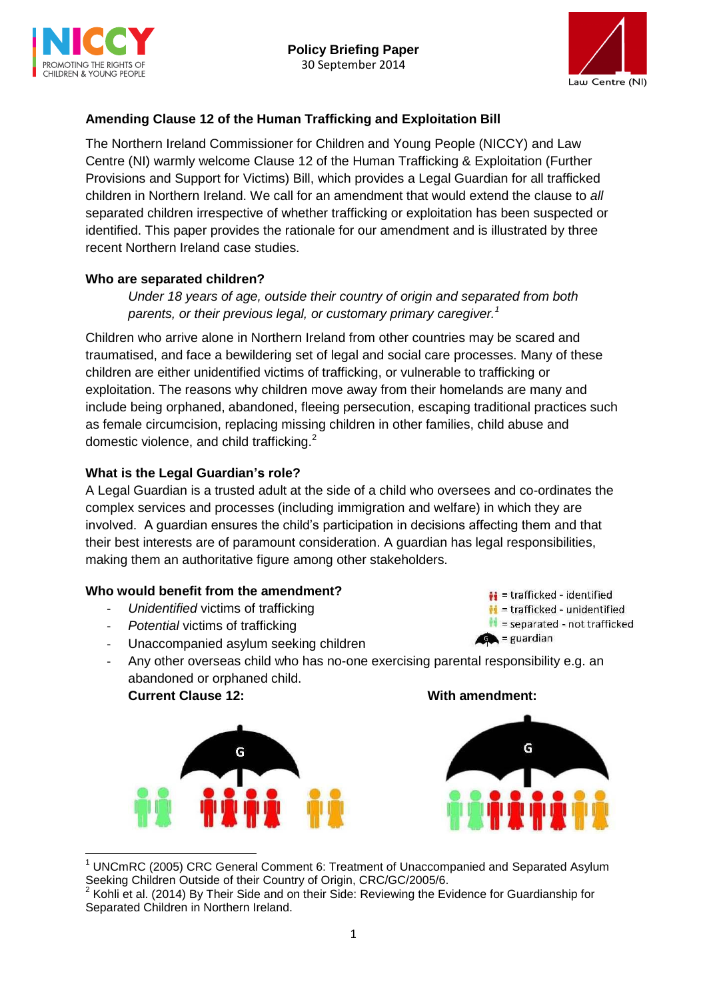



# **Amending Clause 12 of the Human Trafficking and Exploitation Bill**

The Northern Ireland Commissioner for Children and Young People (NICCY) and Law Centre (NI) warmly welcome Clause 12 of the Human Trafficking & Exploitation (Further Provisions and Support for Victims) Bill, which provides a Legal Guardian for all trafficked children in Northern Ireland. We call for an amendment that would extend the clause to *all* separated children irrespective of whether trafficking or exploitation has been suspected or identified. This paper provides the rationale for our amendment and is illustrated by three recent Northern Ireland case studies.

#### **Who are separated children?**

*Under 18 years of age, outside their country of origin and separated from both parents, or their previous legal, or customary primary caregiver.<sup>1</sup>*

Children who arrive alone in Northern Ireland from other countries may be scared and traumatised, and face a bewildering set of legal and social care processes. Many of these children are either unidentified victims of trafficking, or vulnerable to trafficking or exploitation. The reasons why children move away from their homelands are many and include being orphaned, abandoned, fleeing persecution, escaping traditional practices such as female circumcision, replacing missing children in other families, child abuse and domestic violence, and child trafficking.<sup>2</sup>

#### **What is the Legal Guardian's role?**

A Legal Guardian is a trusted adult at the side of a child who oversees and co-ordinates the complex services and processes (including immigration and welfare) in which they are involved. A guardian ensures the child's participation in decisions affecting them and that their best interests are of paramount consideration. A guardian has legal responsibilities, making them an authoritative figure among other stakeholders.

#### **Who would benefit from the amendment?**

- *Unidentified* victims of trafficking
- *Potential* victims of trafficking
- Unaccompanied asylum seeking children
- Any other overseas child who has no-one exercising parental responsibility e.g. an abandoned or orphaned child. **Current Clause 12: With amendment:**





 $\bullet$  = guardian

 $\mathbf{H}$  = trafficked - identified  $\mathbf{H}$  = trafficked - unidentified  $\blacksquare$  = separated - not trafficked

**<sup>.</sup>** <sup>1</sup> UNCmRC (2005) CRC General Comment 6: Treatment of Unaccompanied and Separated Asylum Seeking Children Outside of their Country of Origin, CRC/GC/2005/6.

<sup>2</sup> Kohli et al. (2014) By Their Side and on their Side: Reviewing the Evidence for Guardianship for Separated Children in Northern Ireland.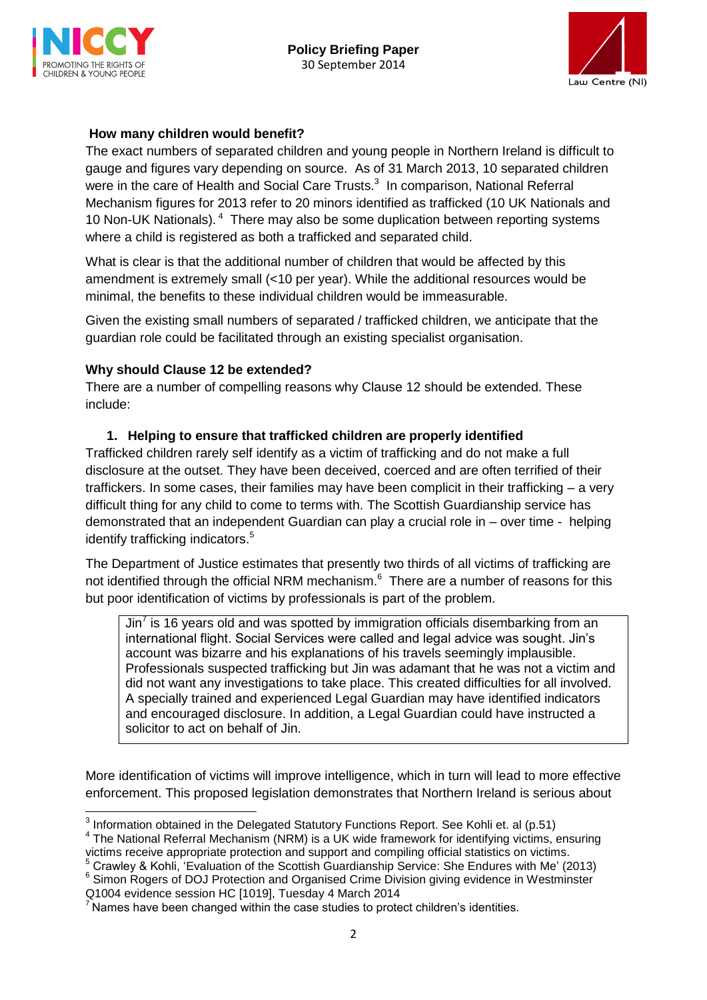

**.** 



### **How many children would benefit?**

The exact numbers of separated children and young people in Northern Ireland is difficult to gauge and figures vary depending on source. As of 31 March 2013, 10 separated children were in the care of Health and Social Care Trusts.<sup>3</sup> In comparison, National Referral Mechanism figures for 2013 refer to 20 minors identified as trafficked (10 UK Nationals and 10 Non-UK Nationals). <sup>4</sup> There may also be some duplication between reporting systems where a child is registered as both a trafficked and separated child.

What is clear is that the additional number of children that would be affected by this amendment is extremely small (<10 per year). While the additional resources would be minimal, the benefits to these individual children would be immeasurable.

Given the existing small numbers of separated / trafficked children, we anticipate that the guardian role could be facilitated through an existing specialist organisation.

#### **Why should Clause 12 be extended?**

There are a number of compelling reasons why Clause 12 should be extended. These include:

### **1. Helping to ensure that trafficked children are properly identified**

Trafficked children rarely self identify as a victim of trafficking and do not make a full disclosure at the outset. They have been deceived, coerced and are often terrified of their traffickers. In some cases, their families may have been complicit in their trafficking – a very difficult thing for any child to come to terms with. The Scottish Guardianship service has demonstrated that an independent Guardian can play a crucial role in – over time - helping identify trafficking indicators.<sup>5</sup>

The Department of Justice estimates that presently two thirds of all victims of trafficking are not identified through the official NRM mechanism.<sup>6</sup> There are a number of reasons for this but poor identification of victims by professionals is part of the problem.

Jin<sup>7</sup> is 16 years old and was spotted by immigration officials disembarking from an international flight. Social Services were called and legal advice was sought. Jin's account was bizarre and his explanations of his travels seemingly implausible. Professionals suspected trafficking but Jin was adamant that he was not a victim and did not want any investigations to take place. This created difficulties for all involved. A specially trained and experienced Legal Guardian may have identified indicators and encouraged disclosure. In addition, a Legal Guardian could have instructed a solicitor to act on behalf of Jin.

More identification of victims will improve intelligence, which in turn will lead to more effective enforcement. This proposed legislation demonstrates that Northern Ireland is serious about

<sup>6</sup> Simon Rogers of DOJ Protection and Organised Crime Division giving evidence in Westminster Q1004 evidence session HC [1019], Tuesday 4 March 2014

 $3$  Information obtained in the Delegated Statutory Functions Report. See Kohli et. al (p.51)

<sup>&</sup>lt;sup>4</sup> The National Referral Mechanism (NRM) is a UK wide framework for identifying victims, ensuring victims receive appropriate protection and support and compiling official statistics on victims.

<sup>5</sup> Crawley & Kohli, 'Evaluation of the Scottish Guardianship Service: She Endures with Me' (2013)

<sup>&</sup>lt;sup>7</sup> Names have been changed within the case studies to protect children's identities.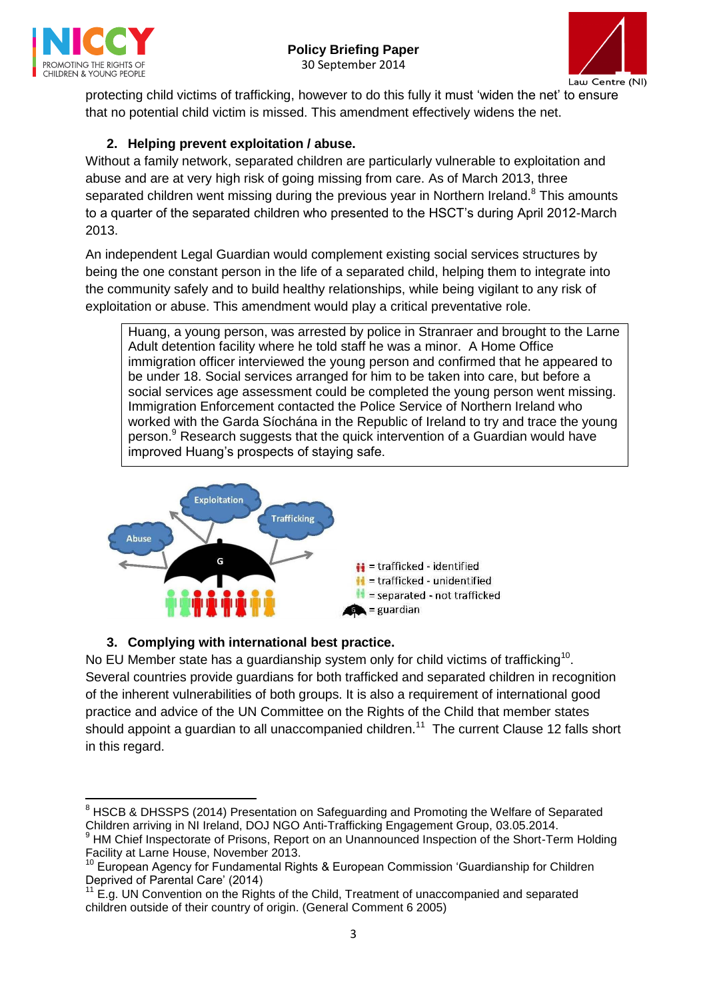



protecting child victims of trafficking, however to do this fully it must 'widen the net' to ensure that no potential child victim is missed. This amendment effectively widens the net.

# **2. Helping prevent exploitation / abuse.**

Without a family network, separated children are particularly vulnerable to exploitation and abuse and are at very high risk of going missing from care. As of March 2013, three separated children went missing during the previous year in Northern Ireland.<sup>8</sup> This amounts to a quarter of the separated children who presented to the HSCT's during April 2012-March 2013.

An independent Legal Guardian would complement existing social services structures by being the one constant person in the life of a separated child, helping them to integrate into the community safely and to build healthy relationships, while being vigilant to any risk of exploitation or abuse. This amendment would play a critical preventative role.

Huang, a young person, was arrested by police in Stranraer and brought to the Larne Adult detention facility where he told staff he was a minor. A Home Office immigration officer interviewed the young person and confirmed that he appeared to be under 18. Social services arranged for him to be taken into care, but before a social services age assessment could be completed the young person went missing. Immigration Enforcement contacted the Police Service of Northern Ireland who worked with the Garda Síochána in the Republic of Ireland to try and trace the young person.<sup>9</sup> Research suggests that the quick intervention of a Guardian would have improved Huang's prospects of staying safe.



## **3. Complying with international best practice.**

No EU Member state has a guardianship system only for child victims of trafficking<sup>10</sup>. Several countries provide guardians for both trafficked and separated children in recognition of the inherent vulnerabilities of both groups. It is also a requirement of international good practice and advice of the UN Committee on the Rights of the Child that member states should appoint a guardian to all unaccompanied children.<sup>11</sup> The current Clause 12 falls short in this regard.

**<sup>.</sup>** <sup>8</sup> HSCB & DHSSPS (2014) Presentation on Safeguarding and Promoting the Welfare of Separated Children arriving in NI Ireland, DOJ NGO Anti-Trafficking Engagement Group, 03.05.2014.

<sup>&</sup>lt;sup>9</sup> HM Chief Inspectorate of Prisons, Report on an Unannounced Inspection of the Short-Term Holding Facility at Larne House, November 2013.

<sup>10</sup> European Agency for Fundamental Rights & European Commission 'Guardianship for Children Deprived of Parental Care' (2014)

 $11$  E.g. UN Convention on the Rights of the Child, Treatment of unaccompanied and separated children outside of their country of origin. (General Comment 6 2005)